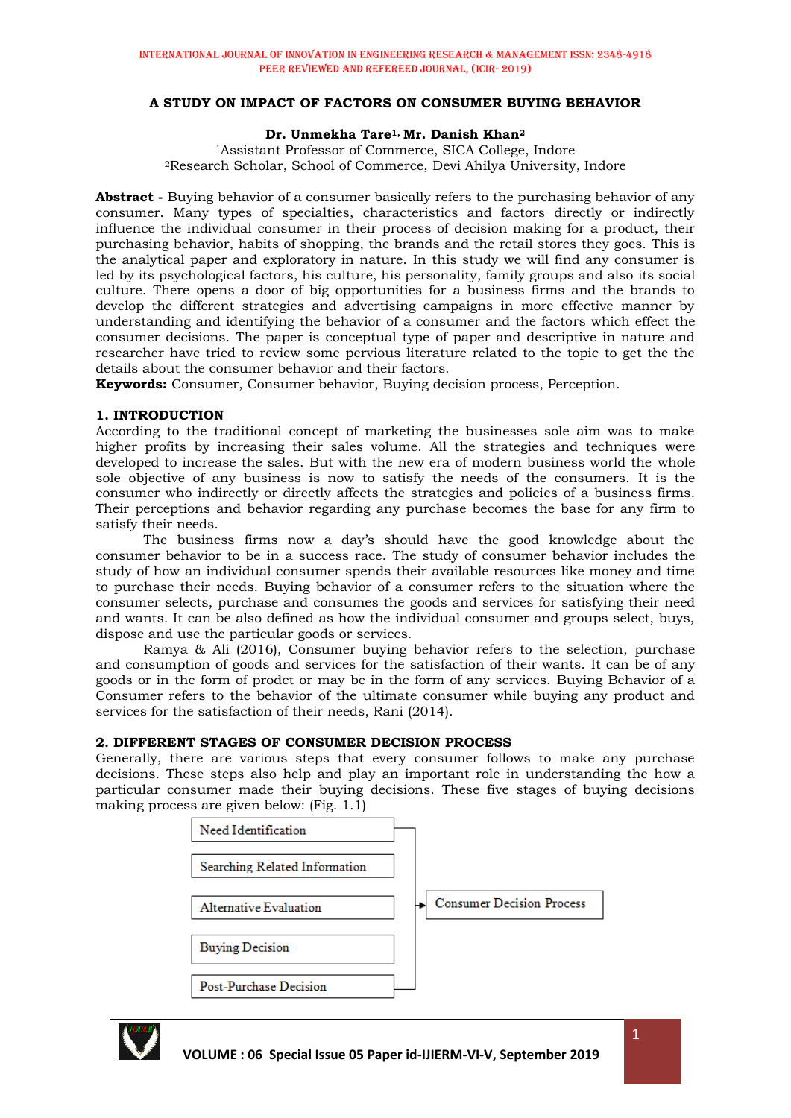# **A STUDY ON IMPACT OF FACTORS ON CONSUMER BUYING BEHAVIOR**

## **Dr. Unmekha Tare1, Mr. Danish Khan<sup>2</sup>**

<sup>1</sup>Assistant Professor of Commerce, SICA College, Indore <sup>2</sup>Research Scholar, School of Commerce, Devi Ahilya University, Indore

**Abstract -** Buying behavior of a consumer basically refers to the purchasing behavior of any consumer. Many types of specialties, characteristics and factors directly or indirectly influence the individual consumer in their process of decision making for a product, their purchasing behavior, habits of shopping, the brands and the retail stores they goes. This is the analytical paper and exploratory in nature. In this study we will find any consumer is led by its psychological factors, his culture, his personality, family groups and also its social culture. There opens a door of big opportunities for a business firms and the brands to develop the different strategies and advertising campaigns in more effective manner by understanding and identifying the behavior of a consumer and the factors which effect the consumer decisions. The paper is conceptual type of paper and descriptive in nature and researcher have tried to review some pervious literature related to the topic to get the the details about the consumer behavior and their factors.

**Keywords:** Consumer, Consumer behavior, Buying decision process, Perception.

## **1. INTRODUCTION**

According to the traditional concept of marketing the businesses sole aim was to make higher profits by increasing their sales volume. All the strategies and techniques were developed to increase the sales. But with the new era of modern business world the whole sole objective of any business is now to satisfy the needs of the consumers. It is the consumer who indirectly or directly affects the strategies and policies of a business firms. Their perceptions and behavior regarding any purchase becomes the base for any firm to satisfy their needs.

The business firms now a day's should have the good knowledge about the consumer behavior to be in a success race. The study of consumer behavior includes the study of how an individual consumer spends their available resources like money and time to purchase their needs. Buying behavior of a consumer refers to the situation where the consumer selects, purchase and consumes the goods and services for satisfying their need and wants. It can be also defined as how the individual consumer and groups select, buys, dispose and use the particular goods or services.

Ramya & Ali (2016), Consumer buying behavior refers to the selection, purchase and consumption of goods and services for the satisfaction of their wants. It can be of any goods or in the form of prodct or may be in the form of any services. Buying Behavior of a Consumer refers to the behavior of the ultimate consumer while buying any product and services for the satisfaction of their needs, Rani (2014).

#### **2. DIFFERENT STAGES OF CONSUMER DECISION PROCESS**

Generally, there are various steps that every consumer follows to make any purchase decisions. These steps also help and play an important role in understanding the how a particular consumer made their buying decisions. These five stages of buying decisions making process are given below: (Fig. 1.1)



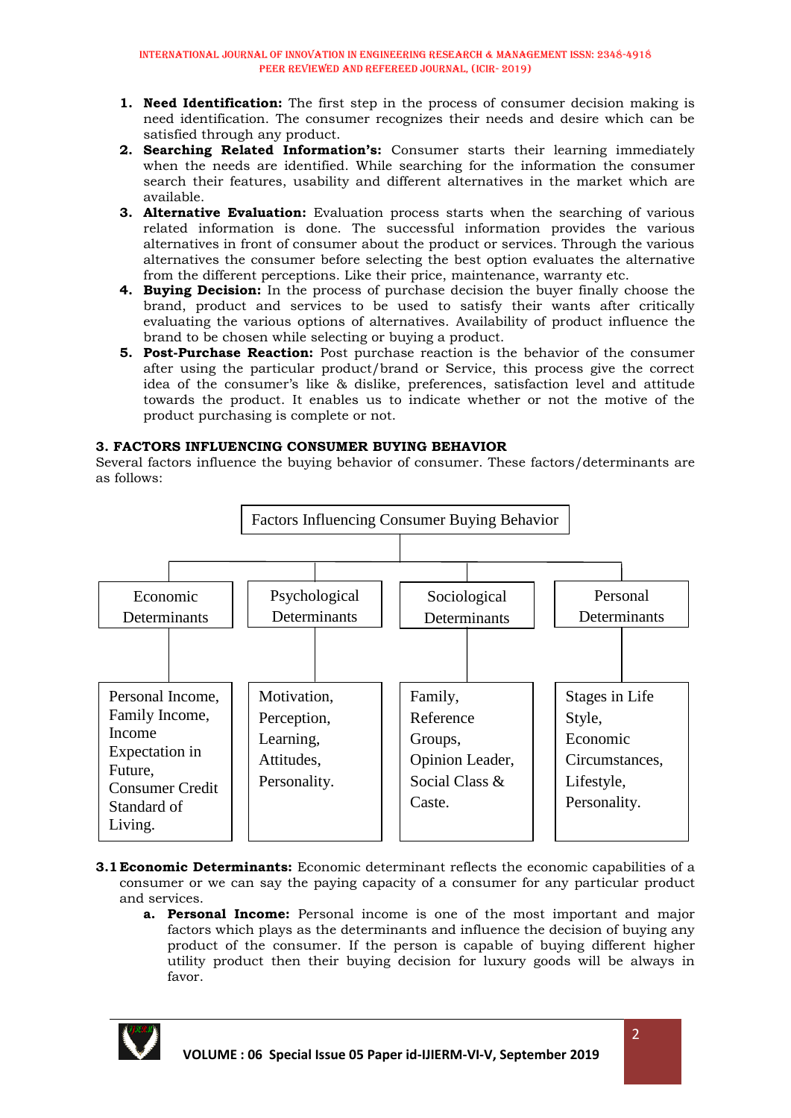- **1. Need Identification:** The first step in the process of consumer decision making is need identification. The consumer recognizes their needs and desire which can be satisfied through any product.
- **2. Searching Related Information's:** Consumer starts their learning immediately when the needs are identified. While searching for the information the consumer search their features, usability and different alternatives in the market which are available.
- **3. Alternative Evaluation:** Evaluation process starts when the searching of various related information is done. The successful information provides the various alternatives in front of consumer about the product or services. Through the various alternatives the consumer before selecting the best option evaluates the alternative from the different perceptions. Like their price, maintenance, warranty etc.
- **4. Buying Decision:** In the process of purchase decision the buyer finally choose the brand, product and services to be used to satisfy their wants after critically evaluating the various options of alternatives. Availability of product influence the brand to be chosen while selecting or buying a product.
- **5. Post-Purchase Reaction:** Post purchase reaction is the behavior of the consumer after using the particular product/brand or Service, this process give the correct idea of the consumer's like & dislike, preferences, satisfaction level and attitude towards the product. It enables us to indicate whether or not the motive of the product purchasing is complete or not.

# **3. FACTORS INFLUENCING CONSUMER BUYING BEHAVIOR**

Several factors influence the buying behavior of consumer. These factors/determinants are as follows:



- **3.1 Economic Determinants:** Economic determinant reflects the economic capabilities of a consumer or we can say the paying capacity of a consumer for any particular product and services.
	- **a. Personal Income:** Personal income is one of the most important and major factors which plays as the determinants and influence the decision of buying any product of the consumer. If the person is capable of buying different higher utility product then their buying decision for luxury goods will be always in favor.

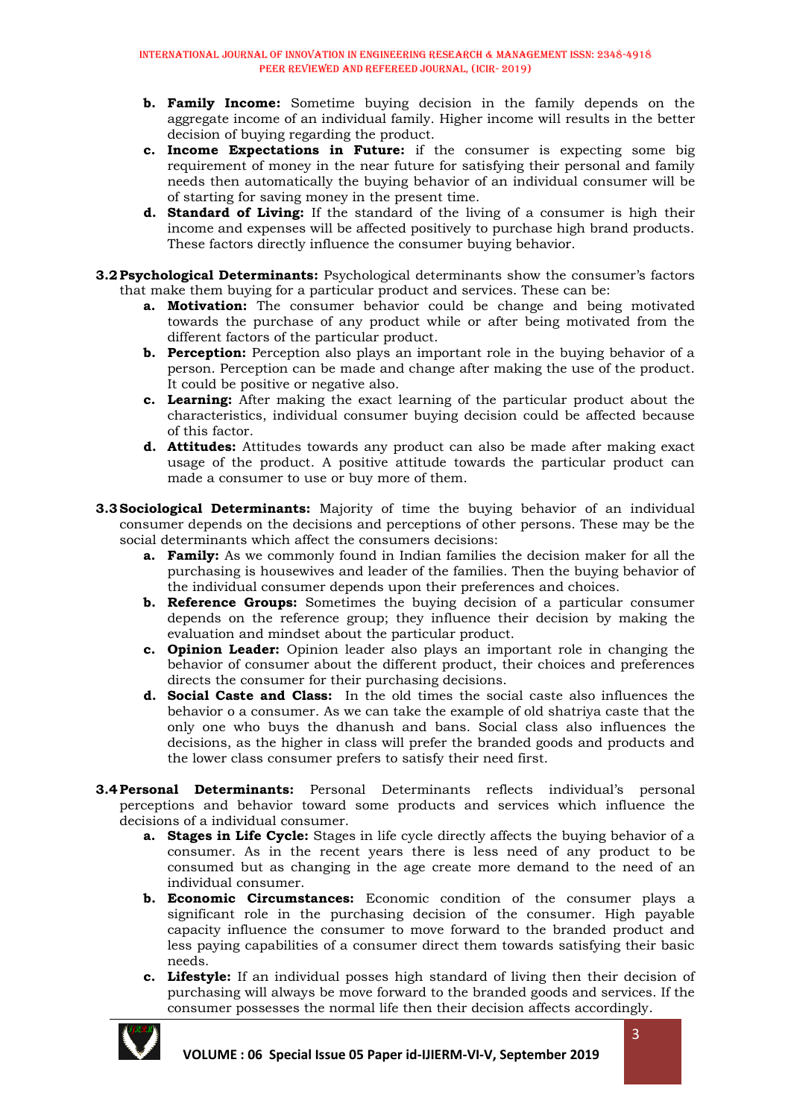- **b. Family Income:** Sometime buying decision in the family depends on the aggregate income of an individual family. Higher income will results in the better decision of buying regarding the product.
- **c. Income Expectations in Future:** if the consumer is expecting some big requirement of money in the near future for satisfying their personal and family needs then automatically the buying behavior of an individual consumer will be of starting for saving money in the present time.
- **d. Standard of Living:** If the standard of the living of a consumer is high their income and expenses will be affected positively to purchase high brand products. These factors directly influence the consumer buying behavior.
- **3.2Psychological Determinants:** Psychological determinants show the consumer's factors that make them buying for a particular product and services. These can be:
	- **a. Motivation:** The consumer behavior could be change and being motivated towards the purchase of any product while or after being motivated from the different factors of the particular product.
	- **b. Perception:** Perception also plays an important role in the buying behavior of a person. Perception can be made and change after making the use of the product. It could be positive or negative also.
	- **c. Learning:** After making the exact learning of the particular product about the characteristics, individual consumer buying decision could be affected because of this factor.
	- **d. Attitudes:** Attitudes towards any product can also be made after making exact usage of the product. A positive attitude towards the particular product can made a consumer to use or buy more of them.
- **3.3Sociological Determinants:** Majority of time the buying behavior of an individual consumer depends on the decisions and perceptions of other persons. These may be the social determinants which affect the consumers decisions:
	- **a. Family:** As we commonly found in Indian families the decision maker for all the purchasing is housewives and leader of the families. Then the buying behavior of the individual consumer depends upon their preferences and choices.
	- **b. Reference Groups:** Sometimes the buying decision of a particular consumer depends on the reference group; they influence their decision by making the evaluation and mindset about the particular product.
	- **c. Opinion Leader:** Opinion leader also plays an important role in changing the behavior of consumer about the different product, their choices and preferences directs the consumer for their purchasing decisions.
	- **d. Social Caste and Class:** In the old times the social caste also influences the behavior o a consumer. As we can take the example of old shatriya caste that the only one who buys the dhanush and bans. Social class also influences the decisions, as the higher in class will prefer the branded goods and products and the lower class consumer prefers to satisfy their need first.
- **3.4Personal Determinants:** Personal Determinants reflects individual's personal perceptions and behavior toward some products and services which influence the decisions of a individual consumer.
	- **a. Stages in Life Cycle:** Stages in life cycle directly affects the buying behavior of a consumer. As in the recent years there is less need of any product to be consumed but as changing in the age create more demand to the need of an individual consumer.
	- **b. Economic Circumstances:** Economic condition of the consumer plays a significant role in the purchasing decision of the consumer. High payable capacity influence the consumer to move forward to the branded product and less paying capabilities of a consumer direct them towards satisfying their basic needs.
	- **c. Lifestyle:** If an individual posses high standard of living then their decision of purchasing will always be move forward to the branded goods and services. If the consumer possesses the normal life then their decision affects accordingly.